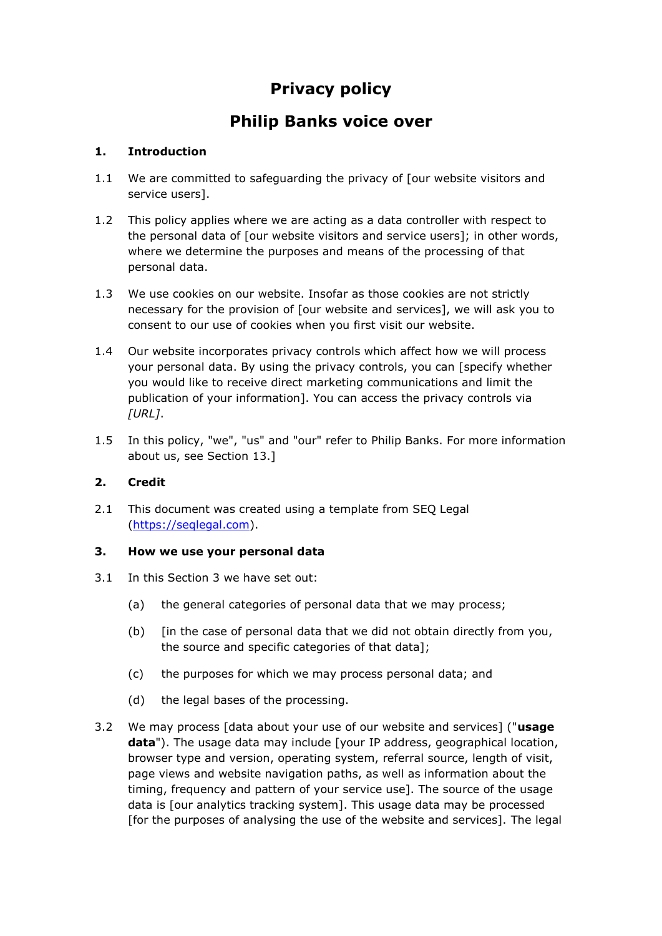# **Privacy policy**

# **Philip Banks voice over**

# **1. Introduction**

- 1.1 We are committed to safeguarding the privacy of [our website visitors and service users].
- 1.2 This policy applies where we are acting as a data controller with respect to the personal data of [our website visitors and service users]; in other words, where we determine the purposes and means of the processing of that personal data.
- 1.3 We use cookies on our website. Insofar as those cookies are not strictly necessary for the provision of [our website and services], we will ask you to consent to our use of cookies when you first visit our website.
- 1.4 Our website incorporates privacy controls which affect how we will process your personal data. By using the privacy controls, you can [specify whether you would like to receive direct marketing communications and limit the publication of your information]. You can access the privacy controls via *[URL]*.
- 1.5 In this policy, "we", "us" and "our" refer to Philip Banks. For more information about us, see Section 13.]

#### **2. Credit**

2.1 This document was created using a template from SEQ Legal [\(https://seqlegal.com\)](https://seqlegal.com/).

#### **3. How we use your personal data**

- 3.1 In this Section 3 we have set out:
	- (a) the general categories of personal data that we may process;
	- (b) [in the case of personal data that we did not obtain directly from you, the source and specific categories of that data];
	- (c) the purposes for which we may process personal data; and
	- (d) the legal bases of the processing.
- 3.2 We may process [data about your use of our website and services] ("**usage data**"). The usage data may include [your IP address, geographical location, browser type and version, operating system, referral source, length of visit, page views and website navigation paths, as well as information about the timing, frequency and pattern of your service use]. The source of the usage data is [our analytics tracking system]. This usage data may be processed [for the purposes of analysing the use of the website and services]. The legal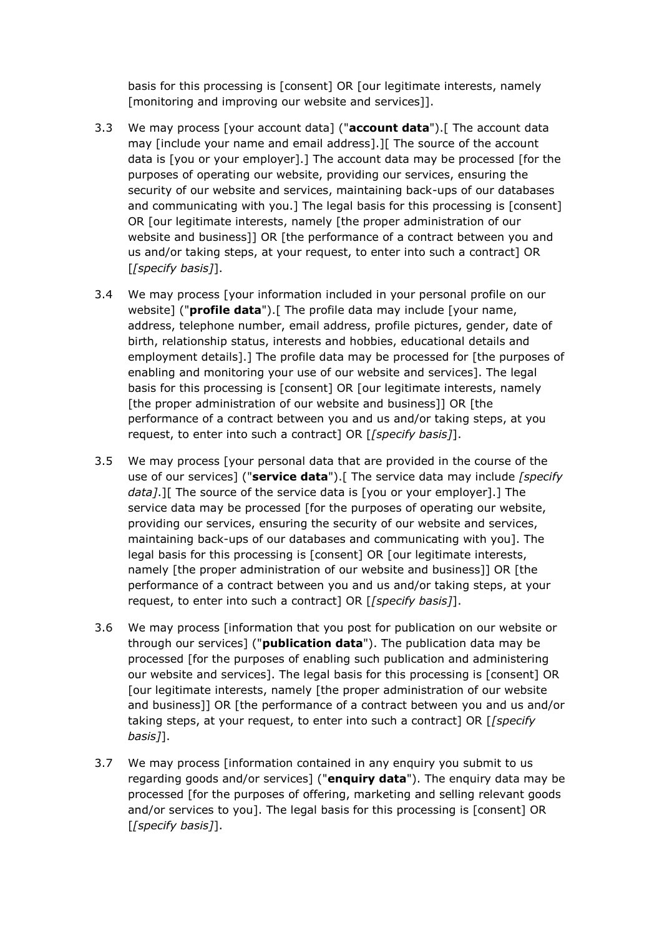basis for this processing is [consent] OR [our legitimate interests, namely [monitoring and improving our website and services]].

- 3.3 We may process [your account data] ("**account data**").[ The account data may [include your name and email address].][ The source of the account data is [you or your employer].] The account data may be processed [for the purposes of operating our website, providing our services, ensuring the security of our website and services, maintaining back-ups of our databases and communicating with you.] The legal basis for this processing is [consent] OR [our legitimate interests, namely [the proper administration of our website and business]] OR [the performance of a contract between you and us and/or taking steps, at your request, to enter into such a contract] OR [*[specify basis]*].
- 3.4 We may process [your information included in your personal profile on our website] ("**profile data**").[ The profile data may include [your name, address, telephone number, email address, profile pictures, gender, date of birth, relationship status, interests and hobbies, educational details and employment details].] The profile data may be processed for [the purposes of enabling and monitoring your use of our website and services]. The legal basis for this processing is [consent] OR [our legitimate interests, namely [the proper administration of our website and business]] OR [the performance of a contract between you and us and/or taking steps, at you request, to enter into such a contract] OR [*[specify basis]*].
- 3.5 We may process [your personal data that are provided in the course of the use of our services] ("**service data**").[ The service data may include *[specify data]*.][ The source of the service data is [you or your employer].] The service data may be processed [for the purposes of operating our website, providing our services, ensuring the security of our website and services, maintaining back-ups of our databases and communicating with you]. The legal basis for this processing is [consent] OR [our legitimate interests, namely [the proper administration of our website and business]] OR [the performance of a contract between you and us and/or taking steps, at your request, to enter into such a contract] OR [*[specify basis]*].
- 3.6 We may process [information that you post for publication on our website or through our services] ("**publication data**"). The publication data may be processed [for the purposes of enabling such publication and administering our website and services]. The legal basis for this processing is [consent] OR [our legitimate interests, namely [the proper administration of our website and business]] OR [the performance of a contract between you and us and/or taking steps, at your request, to enter into such a contract] OR [*[specify basis]*].
- 3.7 We may process [information contained in any enquiry you submit to us regarding goods and/or services] ("**enquiry data**"). The enquiry data may be processed [for the purposes of offering, marketing and selling relevant goods and/or services to you]. The legal basis for this processing is [consent] OR [*[specify basis]*].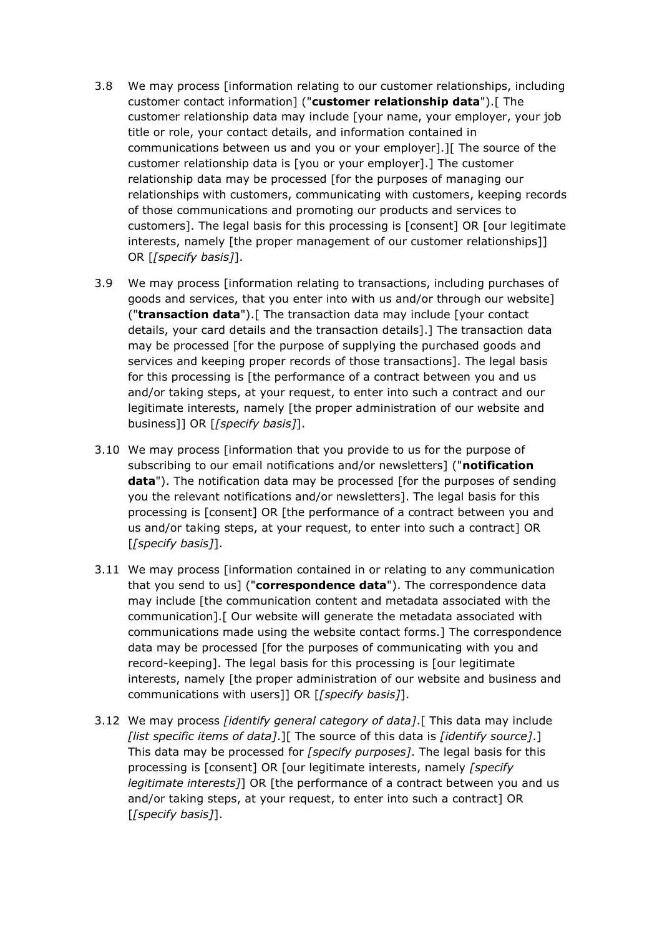- 3.8 We may process [information relating to our customer relationships, including customer contact information] ("**customer relationship data**").[ The customer relationship data may include [your name, your employer, your job title or role, your contact details, and information contained in communications between us and you or your employer].][ The source of the customer relationship data is [you or your employer].] The customer relationship data may be processed [for the purposes of managing our relationships with customers, communicating with customers, keeping records of those communications and promoting our products and services to customers]. The legal basis for this processing is [consent] OR [our legitimate interests, namely [the proper management of our customer relationships]] OR [*[specify basis]*].
- 3.9 We may process [information relating to transactions, including purchases of goods and services, that you enter into with us and/or through our website] ("**transaction data**").[ The transaction data may include [your contact details, your card details and the transaction details].] The transaction data may be processed [for the purpose of supplying the purchased goods and services and keeping proper records of those transactions]. The legal basis for this processing is [the performance of a contract between you and us and/or taking steps, at your request, to enter into such a contract and our legitimate interests, namely [the proper administration of our website and business]] OR [*[specify basis]*].
- 3.10 We may process [information that you provide to us for the purpose of subscribing to our email notifications and/or newsletters] ("**notification data**"). The notification data may be processed [for the purposes of sending you the relevant notifications and/or newsletters]. The legal basis for this processing is [consent] OR [the performance of a contract between you and us and/or taking steps, at your request, to enter into such a contract] OR [*[specify basis]*].
- 3.11 We may process [information contained in or relating to any communication that you send to us] ("**correspondence data**"). The correspondence data may include [the communication content and metadata associated with the communication].[ Our website will generate the metadata associated with communications made using the website contact forms.] The correspondence data may be processed [for the purposes of communicating with you and record-keeping]. The legal basis for this processing is [our legitimate interests, namely [the proper administration of our website and business and communications with users]] OR [*[specify basis]*].
- 3.12 We may process *[identify general category of data]*.[ This data may include *[list specific items of data]*.][ The source of this data is *[identify source]*.] This data may be processed for *[specify purposes]*. The legal basis for this processing is [consent] OR [our legitimate interests, namely *[specify legitimate interests]*] OR [the performance of a contract between you and us and/or taking steps, at your request, to enter into such a contract] OR [*[specify basis]*].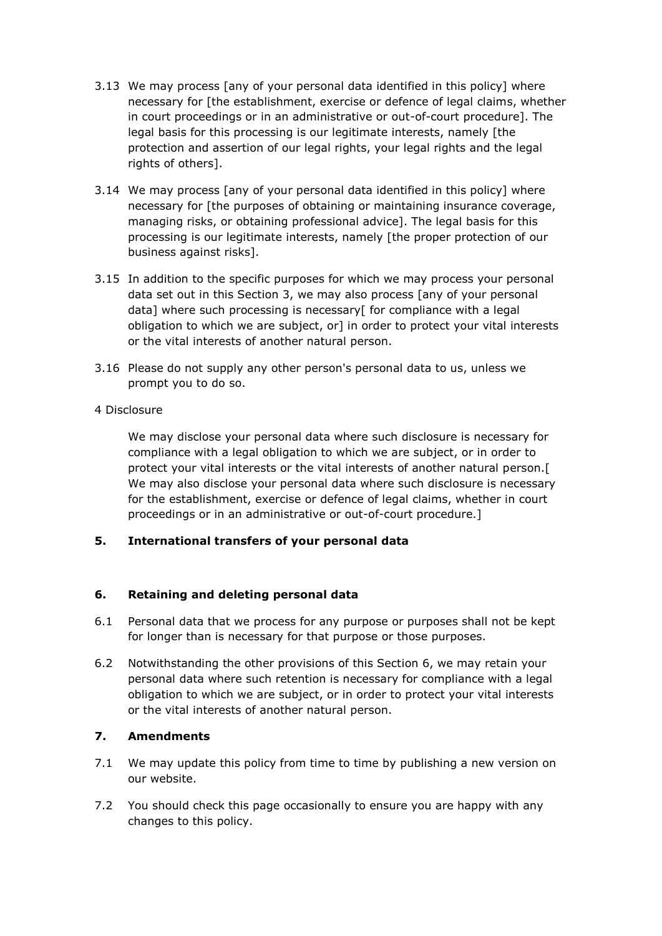- 3.13 We may process [any of your personal data identified in this policy] where necessary for [the establishment, exercise or defence of legal claims, whether in court proceedings or in an administrative or out-of-court procedure]. The legal basis for this processing is our legitimate interests, namely [the protection and assertion of our legal rights, your legal rights and the legal rights of others].
- 3.14 We may process [any of your personal data identified in this policy] where necessary for [the purposes of obtaining or maintaining insurance coverage, managing risks, or obtaining professional advice]. The legal basis for this processing is our legitimate interests, namely [the proper protection of our business against risks].
- 3.15 In addition to the specific purposes for which we may process your personal data set out in this Section 3, we may also process [any of your personal data] where such processing is necessary[ for compliance with a legal obligation to which we are subject, or] in order to protect your vital interests or the vital interests of another natural person.
- 3.16 Please do not supply any other person's personal data to us, unless we prompt you to do so.

#### 4 Disclosure

We may disclose your personal data where such disclosure is necessary for compliance with a legal obligation to which we are subject, or in order to protect your vital interests or the vital interests of another natural person.[ We may also disclose your personal data where such disclosure is necessary for the establishment, exercise or defence of legal claims, whether in court proceedings or in an administrative or out-of-court procedure.]

#### **5. International transfers of your personal data**

#### **6. Retaining and deleting personal data**

- 6.1 Personal data that we process for any purpose or purposes shall not be kept for longer than is necessary for that purpose or those purposes.
- 6.2 Notwithstanding the other provisions of this Section 6, we may retain your personal data where such retention is necessary for compliance with a legal obligation to which we are subject, or in order to protect your vital interests or the vital interests of another natural person.

#### **7. Amendments**

- 7.1 We may update this policy from time to time by publishing a new version on our website.
- 7.2 You should check this page occasionally to ensure you are happy with any changes to this policy.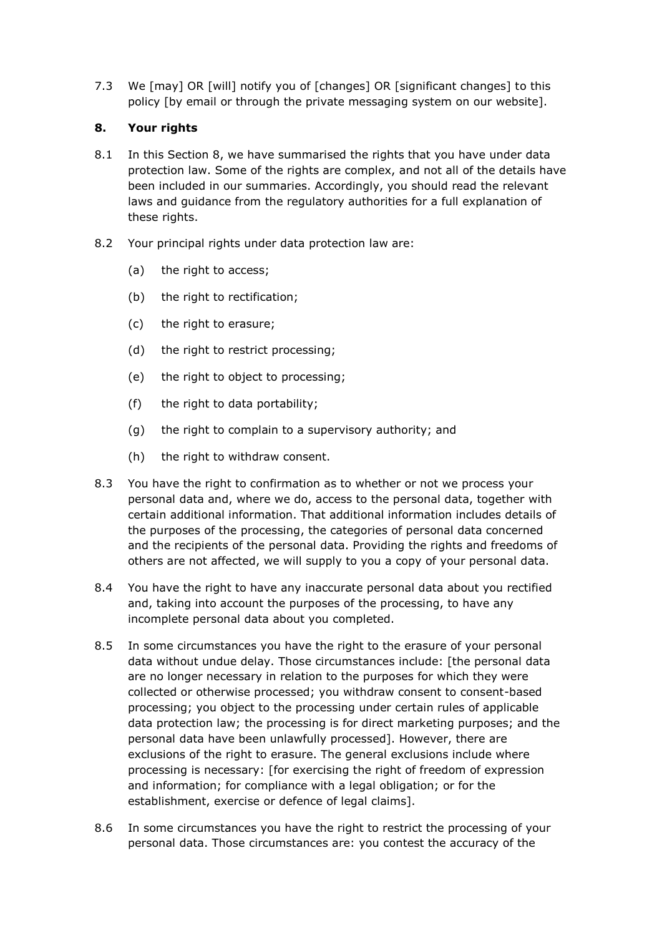7.3 We [may] OR [will] notify you of [changes] OR [significant changes] to this policy [by email or through the private messaging system on our website].

### **8. Your rights**

- 8.1 In this Section 8, we have summarised the rights that you have under data protection law. Some of the rights are complex, and not all of the details have been included in our summaries. Accordingly, you should read the relevant laws and guidance from the regulatory authorities for a full explanation of these rights.
- 8.2 Your principal rights under data protection law are:
	- (a) the right to access;
	- (b) the right to rectification;
	- (c) the right to erasure;
	- (d) the right to restrict processing;
	- (e) the right to object to processing;
	- (f) the right to data portability;
	- (g) the right to complain to a supervisory authority; and
	- (h) the right to withdraw consent.
- 8.3 You have the right to confirmation as to whether or not we process your personal data and, where we do, access to the personal data, together with certain additional information. That additional information includes details of the purposes of the processing, the categories of personal data concerned and the recipients of the personal data. Providing the rights and freedoms of others are not affected, we will supply to you a copy of your personal data.
- 8.4 You have the right to have any inaccurate personal data about you rectified and, taking into account the purposes of the processing, to have any incomplete personal data about you completed.
- 8.5 In some circumstances you have the right to the erasure of your personal data without undue delay. Those circumstances include: [the personal data are no longer necessary in relation to the purposes for which they were collected or otherwise processed; you withdraw consent to consent-based processing; you object to the processing under certain rules of applicable data protection law; the processing is for direct marketing purposes; and the personal data have been unlawfully processed]. However, there are exclusions of the right to erasure. The general exclusions include where processing is necessary: [for exercising the right of freedom of expression and information; for compliance with a legal obligation; or for the establishment, exercise or defence of legal claims].
- 8.6 In some circumstances you have the right to restrict the processing of your personal data. Those circumstances are: you contest the accuracy of the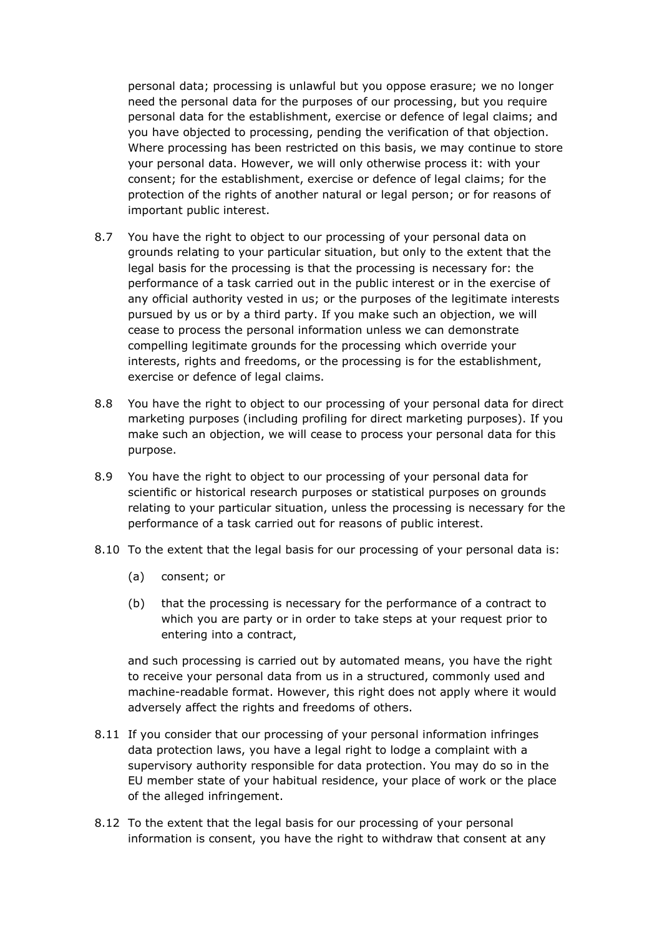personal data; processing is unlawful but you oppose erasure; we no longer need the personal data for the purposes of our processing, but you require personal data for the establishment, exercise or defence of legal claims; and you have objected to processing, pending the verification of that objection. Where processing has been restricted on this basis, we may continue to store your personal data. However, we will only otherwise process it: with your consent; for the establishment, exercise or defence of legal claims; for the protection of the rights of another natural or legal person; or for reasons of important public interest.

- 8.7 You have the right to object to our processing of your personal data on grounds relating to your particular situation, but only to the extent that the legal basis for the processing is that the processing is necessary for: the performance of a task carried out in the public interest or in the exercise of any official authority vested in us; or the purposes of the legitimate interests pursued by us or by a third party. If you make such an objection, we will cease to process the personal information unless we can demonstrate compelling legitimate grounds for the processing which override your interests, rights and freedoms, or the processing is for the establishment, exercise or defence of legal claims.
- 8.8 You have the right to object to our processing of your personal data for direct marketing purposes (including profiling for direct marketing purposes). If you make such an objection, we will cease to process your personal data for this purpose.
- 8.9 You have the right to object to our processing of your personal data for scientific or historical research purposes or statistical purposes on grounds relating to your particular situation, unless the processing is necessary for the performance of a task carried out for reasons of public interest.
- 8.10 To the extent that the legal basis for our processing of your personal data is:
	- (a) consent; or
	- (b) that the processing is necessary for the performance of a contract to which you are party or in order to take steps at your request prior to entering into a contract,

and such processing is carried out by automated means, you have the right to receive your personal data from us in a structured, commonly used and machine-readable format. However, this right does not apply where it would adversely affect the rights and freedoms of others.

- 8.11 If you consider that our processing of your personal information infringes data protection laws, you have a legal right to lodge a complaint with a supervisory authority responsible for data protection. You may do so in the EU member state of your habitual residence, your place of work or the place of the alleged infringement.
- 8.12 To the extent that the legal basis for our processing of your personal information is consent, you have the right to withdraw that consent at any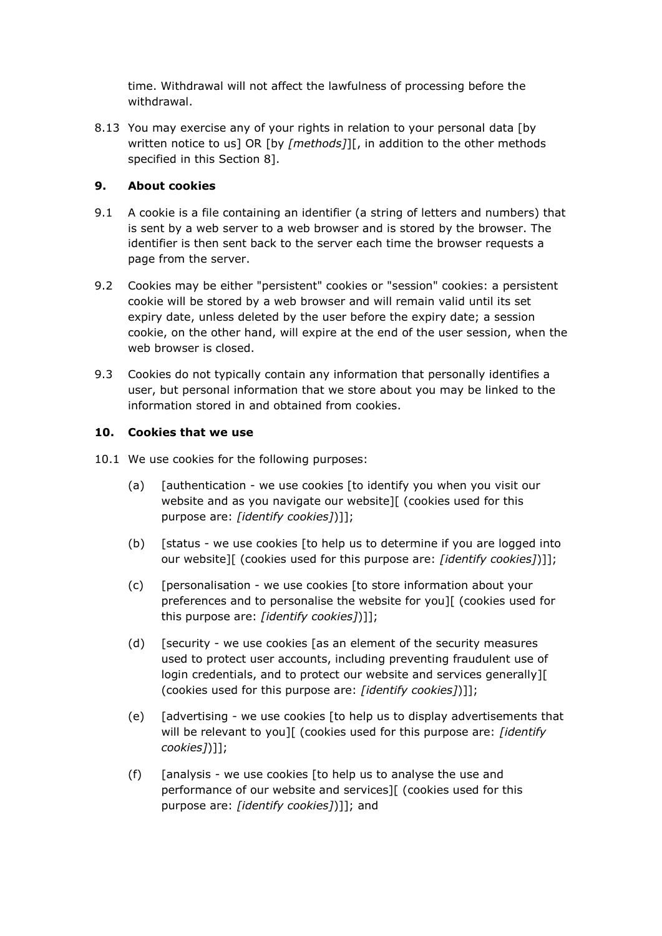time. Withdrawal will not affect the lawfulness of processing before the withdrawal.

8.13 You may exercise any of your rights in relation to your personal data [by written notice to us] OR [by *[methods]*][, in addition to the other methods specified in this Section 8].

### **9. About cookies**

- 9.1 A cookie is a file containing an identifier (a string of letters and numbers) that is sent by a web server to a web browser and is stored by the browser. The identifier is then sent back to the server each time the browser requests a page from the server.
- 9.2 Cookies may be either "persistent" cookies or "session" cookies: a persistent cookie will be stored by a web browser and will remain valid until its set expiry date, unless deleted by the user before the expiry date; a session cookie, on the other hand, will expire at the end of the user session, when the web browser is closed.
- 9.3 Cookies do not typically contain any information that personally identifies a user, but personal information that we store about you may be linked to the information stored in and obtained from cookies.

#### **10. Cookies that we use**

- 10.1 We use cookies for the following purposes:
	- (a)  $\int$  [authentication we use cookies [to identify you when you visit our website and as you navigate our website][ (cookies used for this purpose are: *[identify cookies]*)]];
	- (b) [status we use cookies [to help us to determine if you are logged into our website][ (cookies used for this purpose are: *[identify cookies]*)]];
	- (c) [personalisation we use cookies [to store information about your preferences and to personalise the website for you][ (cookies used for this purpose are: *[identify cookies]*)]];
	- (d) [security we use cookies [as an element of the security measures used to protect user accounts, including preventing fraudulent use of login credentials, and to protect our website and services generally][ (cookies used for this purpose are: *[identify cookies]*)]];
	- (e) [advertising we use cookies [to help us to display advertisements that will be relevant to you][ (cookies used for this purpose are: *[identify cookies]*)]];
	- (f)  $\int$  [analysis we use cookies  $\int$  [to help us to analyse the use and performance of our website and services][ (cookies used for this purpose are: *[identify cookies]*)]]; and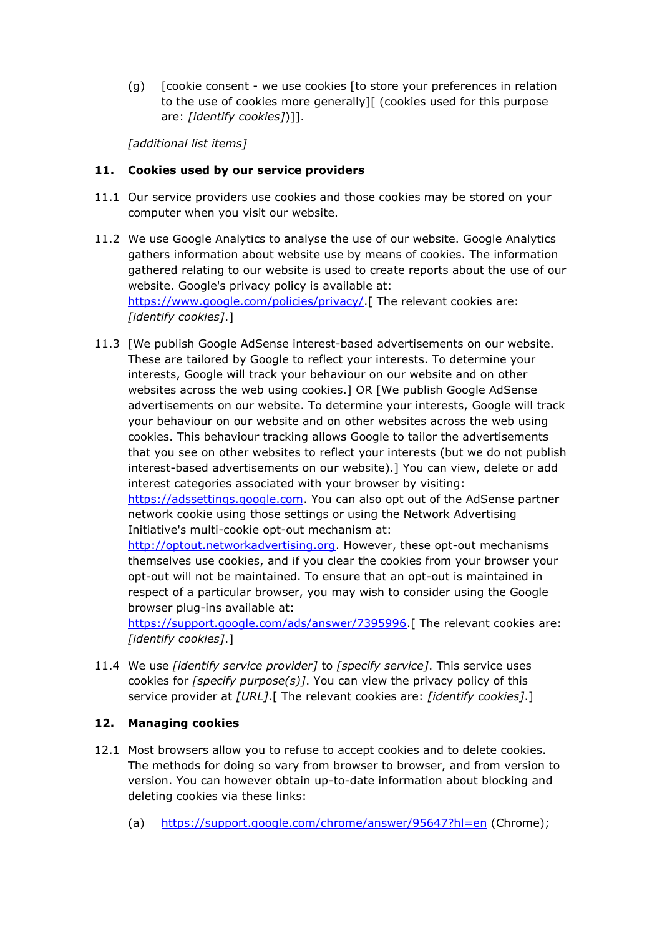(g) [cookie consent - we use cookies [to store your preferences in relation to the use of cookies more generally][ (cookies used for this purpose are: *[identify cookies]*)]].

*[additional list items]*

#### **11. Cookies used by our service providers**

- 11.1 Our service providers use cookies and those cookies may be stored on your computer when you visit our website.
- 11.2 We use Google Analytics to analyse the use of our website. Google Analytics gathers information about website use by means of cookies. The information gathered relating to our website is used to create reports about the use of our website. Google's privacy policy is available at: [https://www.google.com/policies/privacy/.](https://www.google.com/policies/privacy/)[ The relevant cookies are: *[identify cookies]*.]
- 11.3 [We publish Google AdSense interest-based advertisements on our website. These are tailored by Google to reflect your interests. To determine your interests, Google will track your behaviour on our website and on other websites across the web using cookies.] OR [We publish Google AdSense advertisements on our website. To determine your interests, Google will track your behaviour on our website and on other websites across the web using cookies. This behaviour tracking allows Google to tailor the advertisements that you see on other websites to reflect your interests (but we do not publish interest-based advertisements on our website).] You can view, delete or add interest categories associated with your browser by visiting: [https://adssettings.google.com.](https://adssettings.google.com/) You can also opt out of the AdSense partner network cookie using those settings or using the Network Advertising Initiative's multi-cookie opt-out mechanism at:

[http://optout.networkadvertising.org.](http://optout.networkadvertising.org/) However, these opt-out mechanisms themselves use cookies, and if you clear the cookies from your browser your opt-out will not be maintained. To ensure that an opt-out is maintained in respect of a particular browser, you may wish to consider using the Google browser plug-ins available at:

[https://support.google.com/ads/answer/7395996.](https://support.google.com/ads/answer/7395996)[ The relevant cookies are: *[identify cookies]*.]

11.4 We use *[identify service provider]* to *[specify service]*. This service uses cookies for *[specify purpose(s)]*. You can view the privacy policy of this service provider at *[URL]*.[ The relevant cookies are: *[identify cookies]*.]

#### **12. Managing cookies**

- 12.1 Most browsers allow you to refuse to accept cookies and to delete cookies. The methods for doing so vary from browser to browser, and from version to version. You can however obtain up-to-date information about blocking and deleting cookies via these links:
	- (a) <https://support.google.com/chrome/answer/95647?hl=en> (Chrome);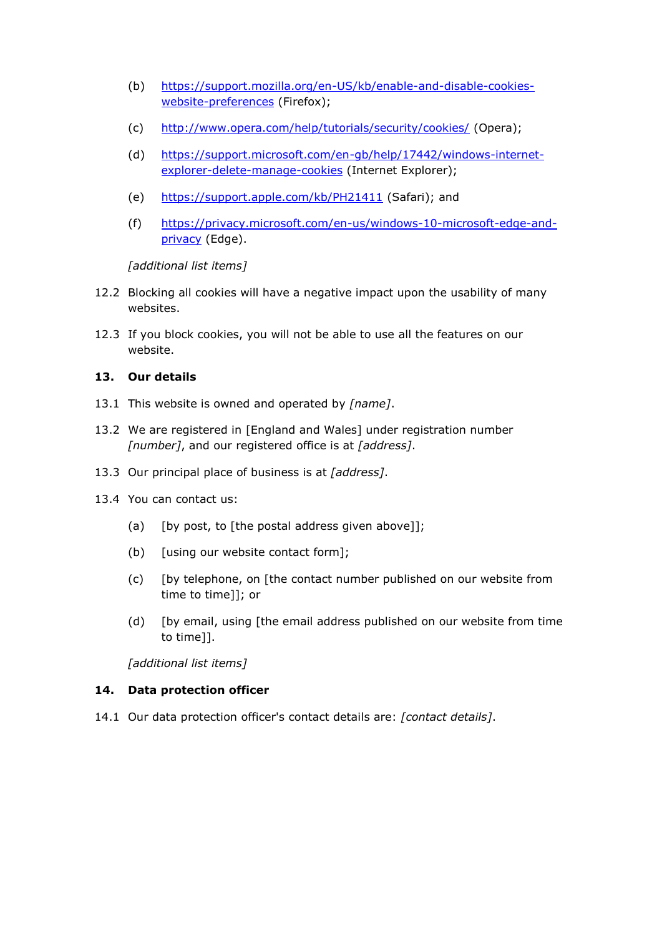- (b) [https://support.mozilla.org/en-US/kb/enable-and-disable-cookies](https://support.mozilla.org/en-US/kb/enable-and-disable-cookies-website-preferences)[website-preferences](https://support.mozilla.org/en-US/kb/enable-and-disable-cookies-website-preferences) (Firefox);
- (c) <http://www.opera.com/help/tutorials/security/cookies/> (Opera);
- (d) [https://support.microsoft.com/en-gb/help/17442/windows-internet](https://support.microsoft.com/en-gb/help/17442/windows-internet-explorer-delete-manage-cookies)[explorer-delete-manage-cookies](https://support.microsoft.com/en-gb/help/17442/windows-internet-explorer-delete-manage-cookies) (Internet Explorer);
- (e) <https://support.apple.com/kb/PH21411> (Safari); and
- (f) [https://privacy.microsoft.com/en-us/windows-10-microsoft-edge-and](https://privacy.microsoft.com/en-us/windows-10-microsoft-edge-and-privacy)[privacy](https://privacy.microsoft.com/en-us/windows-10-microsoft-edge-and-privacy) (Edge).

*[additional list items]*

- 12.2 Blocking all cookies will have a negative impact upon the usability of many websites.
- 12.3 If you block cookies, you will not be able to use all the features on our website.

#### **13. Our details**

- 13.1 This website is owned and operated by *[name]*.
- 13.2 We are registered in [England and Wales] under registration number *[number]*, and our registered office is at *[address]*.
- 13.3 Our principal place of business is at *[address]*.
- 13.4 You can contact us:
	- (a) [by post, to [the postal address given above]];
	- (b) [using our website contact form];
	- (c) [by telephone, on [the contact number published on our website from time to time]]; or
	- (d) [by email, using [the email address published on our website from time to time]].

*[additional list items]*

#### **14. Data protection officer**

14.1 Our data protection officer's contact details are: *[contact details]*.